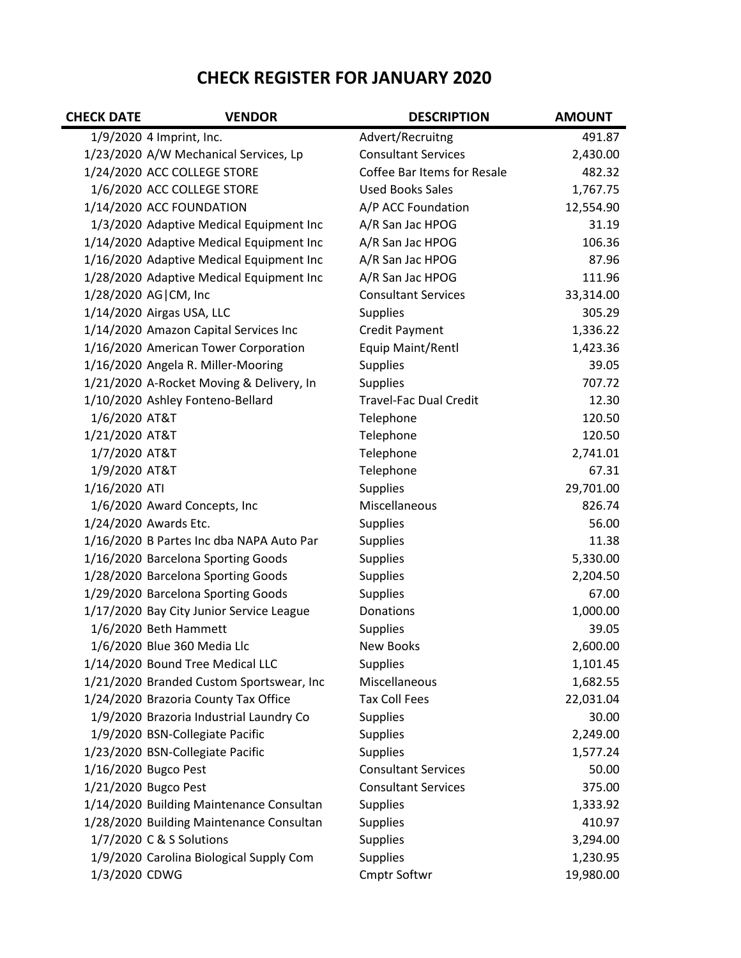## **CHECK REGISTER FOR JANUARY 2020**

| <b>CHECK DATE</b> | <b>VENDOR</b>                             | <b>DESCRIPTION</b>            | <b>AMOUNT</b> |
|-------------------|-------------------------------------------|-------------------------------|---------------|
|                   | 1/9/2020 4 Imprint, Inc.                  | Advert/Recruitng              | 491.87        |
|                   | 1/23/2020 A/W Mechanical Services, Lp     | <b>Consultant Services</b>    | 2,430.00      |
|                   | 1/24/2020 ACC COLLEGE STORE               | Coffee Bar Items for Resale   | 482.32        |
|                   | 1/6/2020 ACC COLLEGE STORE                | <b>Used Books Sales</b>       | 1,767.75      |
|                   | 1/14/2020 ACC FOUNDATION                  | A/P ACC Foundation            | 12,554.90     |
|                   | 1/3/2020 Adaptive Medical Equipment Inc   | A/R San Jac HPOG              | 31.19         |
|                   | 1/14/2020 Adaptive Medical Equipment Inc  | A/R San Jac HPOG              | 106.36        |
|                   | 1/16/2020 Adaptive Medical Equipment Inc  | A/R San Jac HPOG              | 87.96         |
|                   | 1/28/2020 Adaptive Medical Equipment Inc  | A/R San Jac HPOG              | 111.96        |
|                   | 1/28/2020 AG CM, Inc                      | <b>Consultant Services</b>    | 33,314.00     |
|                   | 1/14/2020 Airgas USA, LLC                 | <b>Supplies</b>               | 305.29        |
|                   | 1/14/2020 Amazon Capital Services Inc     | <b>Credit Payment</b>         | 1,336.22      |
|                   | 1/16/2020 American Tower Corporation      | Equip Maint/Rentl             | 1,423.36      |
|                   | 1/16/2020 Angela R. Miller-Mooring        | <b>Supplies</b>               | 39.05         |
|                   | 1/21/2020 A-Rocket Moving & Delivery, In  | <b>Supplies</b>               | 707.72        |
|                   | 1/10/2020 Ashley Fonteno-Bellard          | <b>Travel-Fac Dual Credit</b> | 12.30         |
| 1/6/2020 AT&T     |                                           | Telephone                     | 120.50        |
| 1/21/2020 AT&T    |                                           | Telephone                     | 120.50        |
| 1/7/2020 AT&T     |                                           | Telephone                     | 2,741.01      |
| 1/9/2020 AT&T     |                                           | Telephone                     | 67.31         |
| 1/16/2020 ATI     |                                           | <b>Supplies</b>               | 29,701.00     |
|                   | 1/6/2020 Award Concepts, Inc              | Miscellaneous                 | 826.74        |
|                   | 1/24/2020 Awards Etc.                     | <b>Supplies</b>               | 56.00         |
|                   | 1/16/2020 B Partes Inc dba NAPA Auto Par  | <b>Supplies</b>               | 11.38         |
|                   | 1/16/2020 Barcelona Sporting Goods        | <b>Supplies</b>               | 5,330.00      |
|                   | 1/28/2020 Barcelona Sporting Goods        | <b>Supplies</b>               | 2,204.50      |
|                   | 1/29/2020 Barcelona Sporting Goods        | <b>Supplies</b>               | 67.00         |
|                   | 1/17/2020 Bay City Junior Service League  | Donations                     | 1,000.00      |
|                   | 1/6/2020 Beth Hammett                     | Supplies                      | 39.05         |
|                   | 1/6/2020 Blue 360 Media Llc               | <b>New Books</b>              | 2,600.00      |
|                   | 1/14/2020 Bound Tree Medical LLC          | <b>Supplies</b>               | 1,101.45      |
|                   | 1/21/2020 Branded Custom Sportswear, Inc. | Miscellaneous                 | 1,682.55      |
|                   | 1/24/2020 Brazoria County Tax Office      | <b>Tax Coll Fees</b>          | 22,031.04     |
|                   | 1/9/2020 Brazoria Industrial Laundry Co   | <b>Supplies</b>               | 30.00         |
|                   | 1/9/2020 BSN-Collegiate Pacific           | <b>Supplies</b>               | 2,249.00      |
|                   | 1/23/2020 BSN-Collegiate Pacific          | <b>Supplies</b>               | 1,577.24      |
|                   | 1/16/2020 Bugco Pest                      | <b>Consultant Services</b>    | 50.00         |
|                   | 1/21/2020 Bugco Pest                      | <b>Consultant Services</b>    | 375.00        |
|                   | 1/14/2020 Building Maintenance Consultan  | <b>Supplies</b>               | 1,333.92      |
|                   | 1/28/2020 Building Maintenance Consultan  | <b>Supplies</b>               | 410.97        |
|                   | 1/7/2020 C & S Solutions                  | Supplies                      | 3,294.00      |
|                   | 1/9/2020 Carolina Biological Supply Com   | <b>Supplies</b>               | 1,230.95      |
| 1/3/2020 CDWG     |                                           | <b>Cmptr Softwr</b>           | 19,980.00     |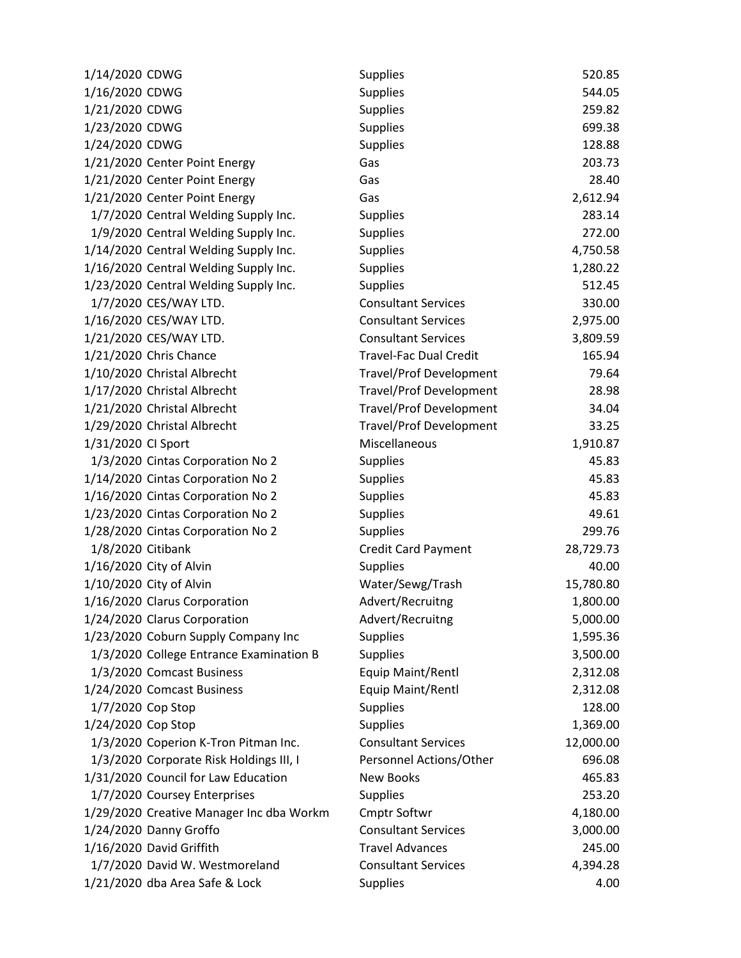| 1/14/2020 CDWG                           | Supplies                       | 520.85    |
|------------------------------------------|--------------------------------|-----------|
| 1/16/2020 CDWG                           | <b>Supplies</b>                | 544.05    |
| 1/21/2020 CDWG                           | <b>Supplies</b>                | 259.82    |
| 1/23/2020 CDWG                           | <b>Supplies</b>                | 699.38    |
| 1/24/2020 CDWG                           | <b>Supplies</b>                | 128.88    |
| 1/21/2020 Center Point Energy            | Gas                            | 203.73    |
| 1/21/2020 Center Point Energy            | Gas                            | 28.40     |
| 1/21/2020 Center Point Energy            | Gas                            | 2,612.94  |
| 1/7/2020 Central Welding Supply Inc.     | <b>Supplies</b>                | 283.14    |
| 1/9/2020 Central Welding Supply Inc.     | <b>Supplies</b>                | 272.00    |
| 1/14/2020 Central Welding Supply Inc.    | <b>Supplies</b>                | 4,750.58  |
| 1/16/2020 Central Welding Supply Inc.    | <b>Supplies</b>                | 1,280.22  |
| 1/23/2020 Central Welding Supply Inc.    | <b>Supplies</b>                | 512.45    |
| 1/7/2020 CES/WAY LTD.                    | <b>Consultant Services</b>     | 330.00    |
| 1/16/2020 CES/WAY LTD.                   | <b>Consultant Services</b>     | 2,975.00  |
| 1/21/2020 CES/WAY LTD.                   | <b>Consultant Services</b>     | 3,809.59  |
| 1/21/2020 Chris Chance                   | <b>Travel-Fac Dual Credit</b>  | 165.94    |
| 1/10/2020 Christal Albrecht              | <b>Travel/Prof Development</b> | 79.64     |
| 1/17/2020 Christal Albrecht              | <b>Travel/Prof Development</b> | 28.98     |
| 1/21/2020 Christal Albrecht              | <b>Travel/Prof Development</b> | 34.04     |
| 1/29/2020 Christal Albrecht              | <b>Travel/Prof Development</b> | 33.25     |
| 1/31/2020 CI Sport                       | Miscellaneous                  | 1,910.87  |
| 1/3/2020 Cintas Corporation No 2         | <b>Supplies</b>                | 45.83     |
| 1/14/2020 Cintas Corporation No 2        | <b>Supplies</b>                | 45.83     |
| 1/16/2020 Cintas Corporation No 2        | <b>Supplies</b>                | 45.83     |
| 1/23/2020 Cintas Corporation No 2        | <b>Supplies</b>                | 49.61     |
| 1/28/2020 Cintas Corporation No 2        | <b>Supplies</b>                | 299.76    |
| 1/8/2020 Citibank                        | <b>Credit Card Payment</b>     | 28,729.73 |
| 1/16/2020 City of Alvin                  | <b>Supplies</b>                | 40.00     |
| 1/10/2020 City of Alvin                  | Water/Sewg/Trash               | 15,780.80 |
| 1/16/2020 Clarus Corporation             | Advert/Recruitng               | 1,800.00  |
| 1/24/2020 Clarus Corporation             | Advert/Recruitng               | 5,000.00  |
| 1/23/2020 Coburn Supply Company Inc      | <b>Supplies</b>                | 1,595.36  |
| 1/3/2020 College Entrance Examination B  | <b>Supplies</b>                | 3,500.00  |
| 1/3/2020 Comcast Business                | Equip Maint/Rentl              | 2,312.08  |
| 1/24/2020 Comcast Business               | Equip Maint/Rentl              | 2,312.08  |
| 1/7/2020 Cop Stop                        | <b>Supplies</b>                | 128.00    |
| 1/24/2020 Cop Stop                       | <b>Supplies</b>                | 1,369.00  |
| 1/3/2020 Coperion K-Tron Pitman Inc.     | <b>Consultant Services</b>     | 12,000.00 |
| 1/3/2020 Corporate Risk Holdings III, I  | Personnel Actions/Other        | 696.08    |
| 1/31/2020 Council for Law Education      | <b>New Books</b>               | 465.83    |
| 1/7/2020 Coursey Enterprises             | <b>Supplies</b>                | 253.20    |
| 1/29/2020 Creative Manager Inc dba Workm | <b>Cmptr Softwr</b>            | 4,180.00  |
| 1/24/2020 Danny Groffo                   | <b>Consultant Services</b>     | 3,000.00  |
| 1/16/2020 David Griffith                 | <b>Travel Advances</b>         | 245.00    |
| 1/7/2020 David W. Westmoreland           | <b>Consultant Services</b>     | 4,394.28  |
| 1/21/2020 dba Area Safe & Lock           | Supplies                       | 4.00      |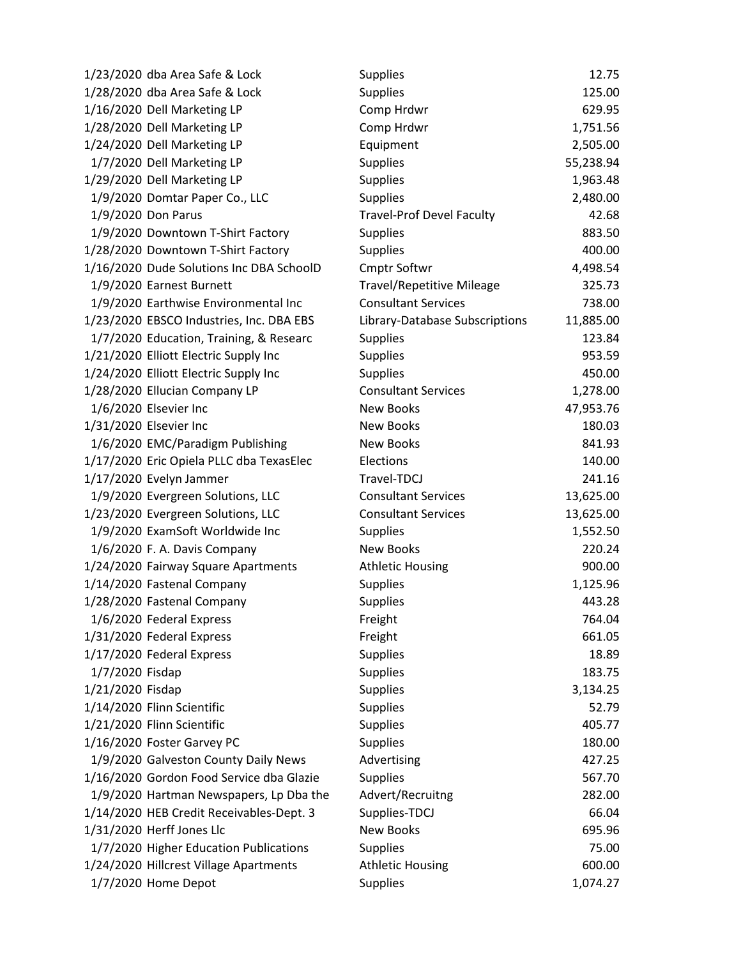| 1/23/2020 dba Area Safe & Lock           | <b>Supplies</b>                  | 12.75     |
|------------------------------------------|----------------------------------|-----------|
| 1/28/2020 dba Area Safe & Lock           | <b>Supplies</b>                  | 125.00    |
| 1/16/2020 Dell Marketing LP              | Comp Hrdwr                       | 629.95    |
| 1/28/2020 Dell Marketing LP              | Comp Hrdwr                       | 1,751.56  |
| 1/24/2020 Dell Marketing LP              | Equipment                        | 2,505.00  |
| 1/7/2020 Dell Marketing LP               | <b>Supplies</b>                  | 55,238.94 |
| 1/29/2020 Dell Marketing LP              | <b>Supplies</b>                  | 1,963.48  |
| 1/9/2020 Domtar Paper Co., LLC           | <b>Supplies</b>                  | 2,480.00  |
| 1/9/2020 Don Parus                       | <b>Travel-Prof Devel Faculty</b> | 42.68     |
| 1/9/2020 Downtown T-Shirt Factory        | <b>Supplies</b>                  | 883.50    |
| 1/28/2020 Downtown T-Shirt Factory       | <b>Supplies</b>                  | 400.00    |
| 1/16/2020 Dude Solutions Inc DBA SchoolD | <b>Cmptr Softwr</b>              | 4,498.54  |
| 1/9/2020 Earnest Burnett                 | <b>Travel/Repetitive Mileage</b> | 325.73    |
| 1/9/2020 Earthwise Environmental Inc     | <b>Consultant Services</b>       | 738.00    |
| 1/23/2020 EBSCO Industries, Inc. DBA EBS | Library-Database Subscriptions   | 11,885.00 |
| 1/7/2020 Education, Training, & Researc  | <b>Supplies</b>                  | 123.84    |
| 1/21/2020 Elliott Electric Supply Inc    | <b>Supplies</b>                  | 953.59    |
| 1/24/2020 Elliott Electric Supply Inc    | <b>Supplies</b>                  | 450.00    |
| 1/28/2020 Ellucian Company LP            | <b>Consultant Services</b>       | 1,278.00  |
| 1/6/2020 Elsevier Inc                    | <b>New Books</b>                 | 47,953.76 |
| 1/31/2020 Elsevier Inc                   | <b>New Books</b>                 | 180.03    |
| 1/6/2020 EMC/Paradigm Publishing         | <b>New Books</b>                 | 841.93    |
| 1/17/2020 Eric Opiela PLLC dba TexasElec | Elections                        | 140.00    |
| 1/17/2020 Evelyn Jammer                  | Travel-TDCJ                      | 241.16    |
| 1/9/2020 Evergreen Solutions, LLC        | <b>Consultant Services</b>       | 13,625.00 |
| 1/23/2020 Evergreen Solutions, LLC       | <b>Consultant Services</b>       | 13,625.00 |
| 1/9/2020 ExamSoft Worldwide Inc          | <b>Supplies</b>                  | 1,552.50  |
| 1/6/2020 F. A. Davis Company             | <b>New Books</b>                 | 220.24    |
| 1/24/2020 Fairway Square Apartments      | <b>Athletic Housing</b>          | 900.00    |
| 1/14/2020 Fastenal Company               | <b>Supplies</b>                  | 1,125.96  |
| 1/28/2020 Fastenal Company               | <b>Supplies</b>                  | 443.28    |
| 1/6/2020 Federal Express                 | Freight                          | 764.04    |
| 1/31/2020 Federal Express                | Freight                          | 661.05    |
| 1/17/2020 Federal Express                | <b>Supplies</b>                  | 18.89     |
| 1/7/2020 Fisdap                          | <b>Supplies</b>                  | 183.75    |
| 1/21/2020 Fisdap                         | <b>Supplies</b>                  | 3,134.25  |
| 1/14/2020 Flinn Scientific               | <b>Supplies</b>                  | 52.79     |
| 1/21/2020 Flinn Scientific               | <b>Supplies</b>                  | 405.77    |
| 1/16/2020 Foster Garvey PC               | <b>Supplies</b>                  | 180.00    |
| 1/9/2020 Galveston County Daily News     | Advertising                      | 427.25    |
| 1/16/2020 Gordon Food Service dba Glazie | <b>Supplies</b>                  | 567.70    |
| 1/9/2020 Hartman Newspapers, Lp Dba the  | Advert/Recruitng                 | 282.00    |
| 1/14/2020 HEB Credit Receivables-Dept. 3 | Supplies-TDCJ                    | 66.04     |
| 1/31/2020 Herff Jones Llc                | <b>New Books</b>                 | 695.96    |
| 1/7/2020 Higher Education Publications   | <b>Supplies</b>                  | 75.00     |
| 1/24/2020 Hillcrest Village Apartments   | <b>Athletic Housing</b>          | 600.00    |
| 1/7/2020 Home Depot                      | <b>Supplies</b>                  | 1,074.27  |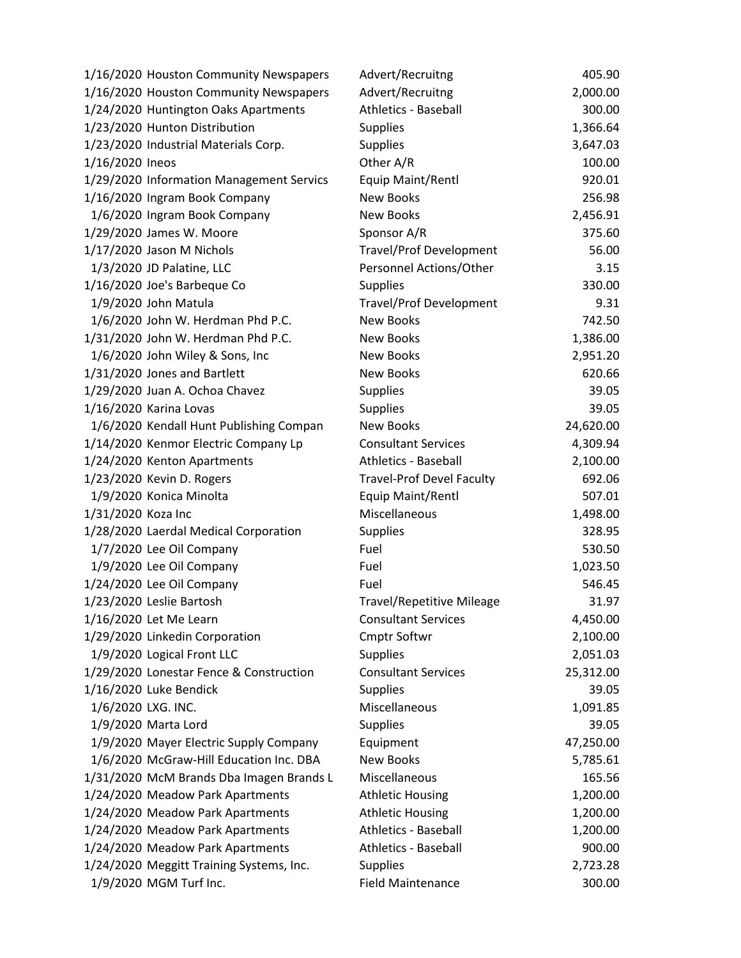| 1/16/2020 Houston Community Newspapers   | Advert/Recruitng                 | 405.90    |
|------------------------------------------|----------------------------------|-----------|
| 1/16/2020 Houston Community Newspapers   | Advert/Recruitng                 | 2,000.00  |
| 1/24/2020 Huntington Oaks Apartments     | Athletics - Baseball             | 300.00    |
| 1/23/2020 Hunton Distribution            | <b>Supplies</b>                  | 1,366.64  |
| 1/23/2020 Industrial Materials Corp.     | <b>Supplies</b>                  | 3,647.03  |
| 1/16/2020 Ineos                          | Other A/R                        | 100.00    |
| 1/29/2020 Information Management Servics | Equip Maint/Rentl                | 920.01    |
| 1/16/2020 Ingram Book Company            | New Books                        | 256.98    |
| 1/6/2020 Ingram Book Company             | <b>New Books</b>                 | 2,456.91  |
| 1/29/2020 James W. Moore                 | Sponsor A/R                      | 375.60    |
| 1/17/2020 Jason M Nichols                | <b>Travel/Prof Development</b>   | 56.00     |
| 1/3/2020 JD Palatine, LLC                | Personnel Actions/Other          | 3.15      |
| 1/16/2020 Joe's Barbeque Co              | <b>Supplies</b>                  | 330.00    |
| 1/9/2020 John Matula                     | Travel/Prof Development          | 9.31      |
| 1/6/2020 John W. Herdman Phd P.C.        | <b>New Books</b>                 | 742.50    |
| 1/31/2020 John W. Herdman Phd P.C.       | <b>New Books</b>                 | 1,386.00  |
| 1/6/2020 John Wiley & Sons, Inc          | New Books                        | 2,951.20  |
| 1/31/2020 Jones and Bartlett             | <b>New Books</b>                 | 620.66    |
| 1/29/2020 Juan A. Ochoa Chavez           | <b>Supplies</b>                  | 39.05     |
| 1/16/2020 Karina Lovas                   | <b>Supplies</b>                  | 39.05     |
| 1/6/2020 Kendall Hunt Publishing Compan  | <b>New Books</b>                 | 24,620.00 |
| 1/14/2020 Kenmor Electric Company Lp     | <b>Consultant Services</b>       | 4,309.94  |
| 1/24/2020 Kenton Apartments              | <b>Athletics - Baseball</b>      | 2,100.00  |
| 1/23/2020 Kevin D. Rogers                | <b>Travel-Prof Devel Faculty</b> | 692.06    |
| 1/9/2020 Konica Minolta                  | Equip Maint/Rentl                | 507.01    |
| 1/31/2020 Koza Inc                       | Miscellaneous                    | 1,498.00  |
| 1/28/2020 Laerdal Medical Corporation    | Supplies                         | 328.95    |
| 1/7/2020 Lee Oil Company                 | Fuel                             | 530.50    |
| 1/9/2020 Lee Oil Company                 | Fuel                             | 1,023.50  |
| 1/24/2020 Lee Oil Company                | Fuel                             | 546.45    |
| 1/23/2020 Leslie Bartosh                 | <b>Travel/Repetitive Mileage</b> | 31.97     |
| 1/16/2020 Let Me Learn                   | <b>Consultant Services</b>       | 4,450.00  |
| 1/29/2020 Linkedin Corporation           | Cmptr Softwr                     | 2,100.00  |
| 1/9/2020 Logical Front LLC               | <b>Supplies</b>                  | 2,051.03  |
| 1/29/2020 Lonestar Fence & Construction  | <b>Consultant Services</b>       | 25,312.00 |
| 1/16/2020 Luke Bendick                   | <b>Supplies</b>                  | 39.05     |
| 1/6/2020 LXG. INC.                       | Miscellaneous                    | 1,091.85  |
| 1/9/2020 Marta Lord                      | <b>Supplies</b>                  | 39.05     |
| 1/9/2020 Mayer Electric Supply Company   | Equipment                        | 47,250.00 |
| 1/6/2020 McGraw-Hill Education Inc. DBA  | <b>New Books</b>                 | 5,785.61  |
| 1/31/2020 McM Brands Dba Imagen Brands L | Miscellaneous                    | 165.56    |
| 1/24/2020 Meadow Park Apartments         | <b>Athletic Housing</b>          | 1,200.00  |
| 1/24/2020 Meadow Park Apartments         | <b>Athletic Housing</b>          | 1,200.00  |
| 1/24/2020 Meadow Park Apartments         | <b>Athletics - Baseball</b>      | 1,200.00  |
| 1/24/2020 Meadow Park Apartments         | Athletics - Baseball             | 900.00    |
| 1/24/2020 Meggitt Training Systems, Inc. | <b>Supplies</b>                  | 2,723.28  |
| 1/9/2020 MGM Turf Inc.                   | <b>Field Maintenance</b>         | 300.00    |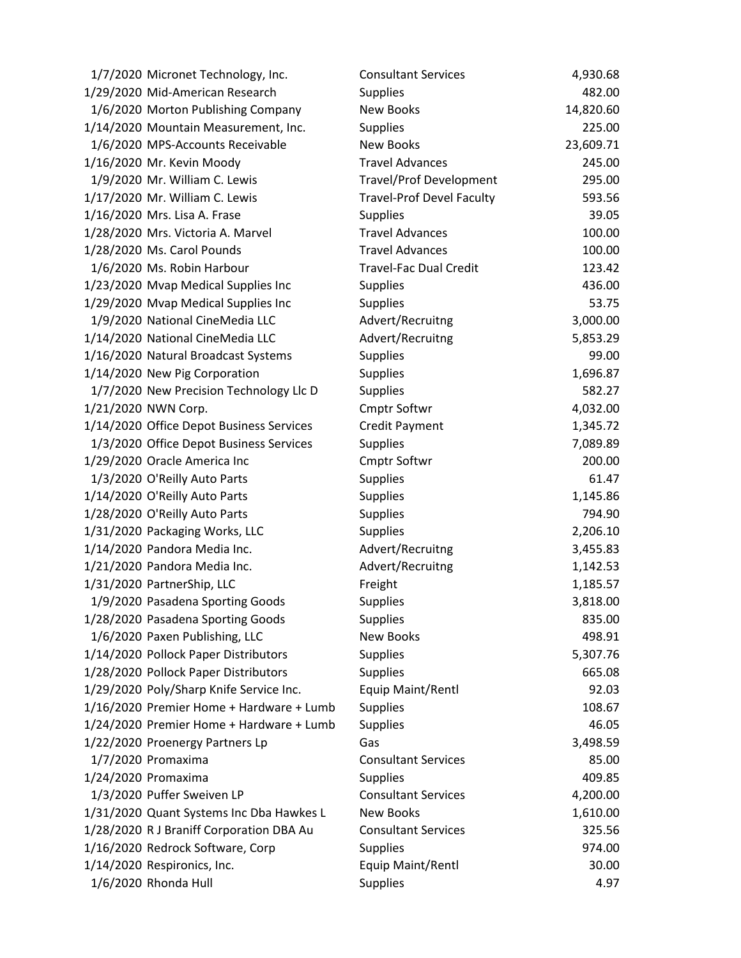| 1/7/2020 Micronet Technology, Inc.       | <b>Consultant Services</b>       | 4,930.68  |
|------------------------------------------|----------------------------------|-----------|
| 1/29/2020 Mid-American Research          | <b>Supplies</b>                  | 482.00    |
| 1/6/2020 Morton Publishing Company       | New Books                        | 14,820.60 |
| 1/14/2020 Mountain Measurement, Inc.     | <b>Supplies</b>                  | 225.00    |
| 1/6/2020 MPS-Accounts Receivable         | New Books                        | 23,609.71 |
| 1/16/2020 Mr. Kevin Moody                | <b>Travel Advances</b>           | 245.00    |
| 1/9/2020 Mr. William C. Lewis            | <b>Travel/Prof Development</b>   | 295.00    |
| 1/17/2020 Mr. William C. Lewis           | <b>Travel-Prof Devel Faculty</b> | 593.56    |
| 1/16/2020 Mrs. Lisa A. Frase             | <b>Supplies</b>                  | 39.05     |
| 1/28/2020 Mrs. Victoria A. Marvel        | <b>Travel Advances</b>           | 100.00    |
| 1/28/2020 Ms. Carol Pounds               | <b>Travel Advances</b>           | 100.00    |
| 1/6/2020 Ms. Robin Harbour               | <b>Travel-Fac Dual Credit</b>    | 123.42    |
| 1/23/2020 Mvap Medical Supplies Inc      | <b>Supplies</b>                  | 436.00    |
| 1/29/2020 Mvap Medical Supplies Inc      | <b>Supplies</b>                  | 53.75     |
| 1/9/2020 National CineMedia LLC          | Advert/Recruitng                 | 3,000.00  |
| 1/14/2020 National CineMedia LLC         | Advert/Recruitng                 | 5,853.29  |
| 1/16/2020 Natural Broadcast Systems      | <b>Supplies</b>                  | 99.00     |
| 1/14/2020 New Pig Corporation            | <b>Supplies</b>                  | 1,696.87  |
| 1/7/2020 New Precision Technology Llc D  | <b>Supplies</b>                  | 582.27    |
| 1/21/2020 NWN Corp.                      | <b>Cmptr Softwr</b>              | 4,032.00  |
| 1/14/2020 Office Depot Business Services | <b>Credit Payment</b>            | 1,345.72  |
| 1/3/2020 Office Depot Business Services  | <b>Supplies</b>                  | 7,089.89  |
| 1/29/2020 Oracle America Inc             | <b>Cmptr Softwr</b>              | 200.00    |
| 1/3/2020 O'Reilly Auto Parts             | <b>Supplies</b>                  | 61.47     |
| 1/14/2020 O'Reilly Auto Parts            | <b>Supplies</b>                  | 1,145.86  |
| 1/28/2020 O'Reilly Auto Parts            | <b>Supplies</b>                  | 794.90    |
| 1/31/2020 Packaging Works, LLC           | Supplies                         | 2,206.10  |
| 1/14/2020 Pandora Media Inc.             | Advert/Recruitng                 | 3,455.83  |
| 1/21/2020 Pandora Media Inc.             | Advert/Recruitng                 | 1,142.53  |
| 1/31/2020 PartnerShip, LLC               | Freight                          | 1,185.57  |
| 1/9/2020 Pasadena Sporting Goods         | <b>Supplies</b>                  | 3,818.00  |
| 1/28/2020 Pasadena Sporting Goods        | <b>Supplies</b>                  | 835.00    |
| 1/6/2020 Paxen Publishing, LLC           | <b>New Books</b>                 | 498.91    |
| 1/14/2020 Pollock Paper Distributors     | <b>Supplies</b>                  | 5,307.76  |
| 1/28/2020 Pollock Paper Distributors     | <b>Supplies</b>                  | 665.08    |
| 1/29/2020 Poly/Sharp Knife Service Inc.  | Equip Maint/Rentl                | 92.03     |
| 1/16/2020 Premier Home + Hardware + Lumb | <b>Supplies</b>                  | 108.67    |
| 1/24/2020 Premier Home + Hardware + Lumb | <b>Supplies</b>                  | 46.05     |
| 1/22/2020 Proenergy Partners Lp          | Gas                              | 3,498.59  |
| 1/7/2020 Promaxima                       | <b>Consultant Services</b>       | 85.00     |
| 1/24/2020 Promaxima                      | <b>Supplies</b>                  | 409.85    |
| 1/3/2020 Puffer Sweiven LP               | <b>Consultant Services</b>       | 4,200.00  |
| 1/31/2020 Quant Systems Inc Dba Hawkes L | <b>New Books</b>                 | 1,610.00  |
| 1/28/2020 R J Braniff Corporation DBA Au | <b>Consultant Services</b>       | 325.56    |
| 1/16/2020 Redrock Software, Corp         | <b>Supplies</b>                  | 974.00    |
| 1/14/2020 Respironics, Inc.              | Equip Maint/Rentl                | 30.00     |
| 1/6/2020 Rhonda Hull                     | <b>Supplies</b>                  | 4.97      |
|                                          |                                  |           |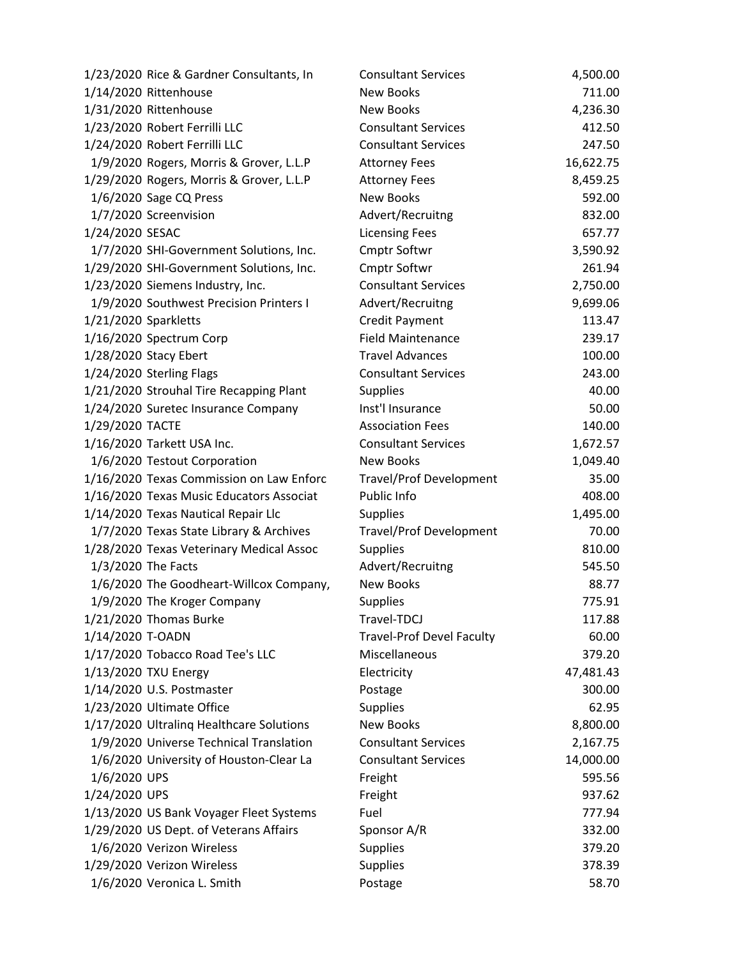| 1/23/2020 Rice & Gardner Consultants, In | <b>Consultant Services</b>       | 4,500.00  |
|------------------------------------------|----------------------------------|-----------|
| 1/14/2020 Rittenhouse                    | <b>New Books</b>                 | 711.00    |
| 1/31/2020 Rittenhouse                    | <b>New Books</b>                 | 4,236.30  |
| 1/23/2020 Robert Ferrilli LLC            | <b>Consultant Services</b>       | 412.50    |
| 1/24/2020 Robert Ferrilli LLC            | <b>Consultant Services</b>       | 247.50    |
| 1/9/2020 Rogers, Morris & Grover, L.L.P  | <b>Attorney Fees</b>             | 16,622.75 |
| 1/29/2020 Rogers, Morris & Grover, L.L.P | <b>Attorney Fees</b>             | 8,459.25  |
| 1/6/2020 Sage CQ Press                   | <b>New Books</b>                 | 592.00    |
| 1/7/2020 Screenvision                    | Advert/Recruitng                 | 832.00    |
| 1/24/2020 SESAC                          | <b>Licensing Fees</b>            | 657.77    |
| 1/7/2020 SHI-Government Solutions, Inc.  | Cmptr Softwr                     | 3,590.92  |
| 1/29/2020 SHI-Government Solutions, Inc. | <b>Cmptr Softwr</b>              | 261.94    |
| 1/23/2020 Siemens Industry, Inc.         | <b>Consultant Services</b>       | 2,750.00  |
| 1/9/2020 Southwest Precision Printers I  | Advert/Recruitng                 | 9,699.06  |
| 1/21/2020 Sparkletts                     | Credit Payment                   | 113.47    |
| 1/16/2020 Spectrum Corp                  | <b>Field Maintenance</b>         | 239.17    |
| 1/28/2020 Stacy Ebert                    | <b>Travel Advances</b>           | 100.00    |
| 1/24/2020 Sterling Flags                 | <b>Consultant Services</b>       | 243.00    |
| 1/21/2020 Strouhal Tire Recapping Plant  | <b>Supplies</b>                  | 40.00     |
| 1/24/2020 Suretec Insurance Company      | Inst'l Insurance                 | 50.00     |
| 1/29/2020 TACTE                          | <b>Association Fees</b>          | 140.00    |
| 1/16/2020 Tarkett USA Inc.               | <b>Consultant Services</b>       | 1,672.57  |
| 1/6/2020 Testout Corporation             | <b>New Books</b>                 | 1,049.40  |
| 1/16/2020 Texas Commission on Law Enforc | Travel/Prof Development          | 35.00     |
| 1/16/2020 Texas Music Educators Associat | Public Info                      | 408.00    |
| 1/14/2020 Texas Nautical Repair Llc      | <b>Supplies</b>                  | 1,495.00  |
| 1/7/2020 Texas State Library & Archives  | Travel/Prof Development          | 70.00     |
| 1/28/2020 Texas Veterinary Medical Assoc | <b>Supplies</b>                  | 810.00    |
| 1/3/2020 The Facts                       | Advert/Recruitng                 | 545.50    |
| 1/6/2020 The Goodheart-Willcox Company,  | <b>New Books</b>                 | 88.77     |
| 1/9/2020 The Kroger Company              | <b>Supplies</b>                  | 775.91    |
| 1/21/2020 Thomas Burke                   | Travel-TDCJ                      | 117.88    |
| 1/14/2020 T-OADN                         | <b>Travel-Prof Devel Faculty</b> | 60.00     |
| 1/17/2020 Tobacco Road Tee's LLC         | Miscellaneous                    | 379.20    |
| 1/13/2020 TXU Energy                     | Electricity                      | 47,481.43 |
| 1/14/2020 U.S. Postmaster                | Postage                          | 300.00    |
| 1/23/2020 Ultimate Office                | <b>Supplies</b>                  | 62.95     |
| 1/17/2020 Ultraling Healthcare Solutions | <b>New Books</b>                 | 8,800.00  |
| 1/9/2020 Universe Technical Translation  | <b>Consultant Services</b>       | 2,167.75  |
| 1/6/2020 University of Houston-Clear La  | <b>Consultant Services</b>       | 14,000.00 |
| 1/6/2020 UPS                             | Freight                          | 595.56    |
| 1/24/2020 UPS                            | Freight                          | 937.62    |
| 1/13/2020 US Bank Voyager Fleet Systems  | Fuel                             | 777.94    |
| 1/29/2020 US Dept. of Veterans Affairs   | Sponsor A/R                      | 332.00    |
| 1/6/2020 Verizon Wireless                | <b>Supplies</b>                  | 379.20    |
| 1/29/2020 Verizon Wireless               | <b>Supplies</b>                  | 378.39    |
| 1/6/2020 Veronica L. Smith               | Postage                          | 58.70     |